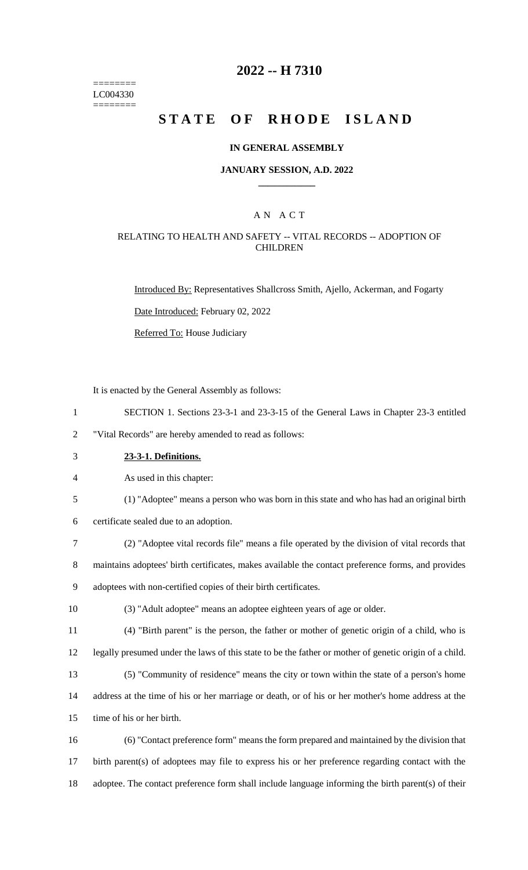======== LC004330 ========

# **2022 -- H 7310**

# **STATE OF RHODE ISLAND**

#### **IN GENERAL ASSEMBLY**

#### **JANUARY SESSION, A.D. 2022 \_\_\_\_\_\_\_\_\_\_\_\_**

### A N A C T

### RELATING TO HEALTH AND SAFETY -- VITAL RECORDS -- ADOPTION OF **CHILDREN**

Introduced By: Representatives Shallcross Smith, Ajello, Ackerman, and Fogarty

Date Introduced: February 02, 2022

Referred To: House Judiciary

It is enacted by the General Assembly as follows:

1 SECTION 1. Sections 23-3-1 and 23-3-15 of the General Laws in Chapter 23-3 entitled

2 "Vital Records" are hereby amended to read as follows:

3 **23-3-1. Definitions.**

4 As used in this chapter:

5 (1) "Adoptee" means a person who was born in this state and who has had an original birth

6 certificate sealed due to an adoption.

7 (2) "Adoptee vital records file" means a file operated by the division of vital records that

8 maintains adoptees' birth certificates, makes available the contact preference forms, and provides 9 adoptees with non-certified copies of their birth certificates.

10 (3) "Adult adoptee" means an adoptee eighteen years of age or older.

11 (4) "Birth parent" is the person, the father or mother of genetic origin of a child, who is 12 legally presumed under the laws of this state to be the father or mother of genetic origin of a child.

13 (5) "Community of residence" means the city or town within the state of a person's home 14 address at the time of his or her marriage or death, or of his or her mother's home address at the

15 time of his or her birth.

16 (6) "Contact preference form" means the form prepared and maintained by the division that 17 birth parent(s) of adoptees may file to express his or her preference regarding contact with the 18 adoptee. The contact preference form shall include language informing the birth parent(s) of their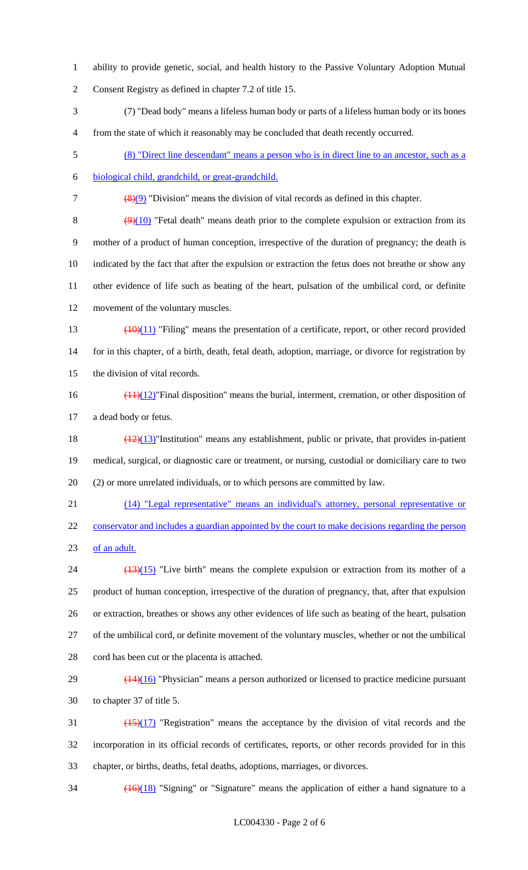- ability to provide genetic, social, and health history to the Passive Voluntary Adoption Mutual Consent Registry as defined in chapter 7.2 of title 15.
- (7) "Dead body" means a lifeless human body or parts of a lifeless human body or its bones from the state of which it reasonably may be concluded that death recently occurred.
- (8) "Direct line descendant" means a person who is in direct line to an ancestor, such as a
- biological child, grandchild, or great-grandchild.

(8)(9) "Division" means the division of vital records as defined in this chapter.

 $(9)(10)$  "Fetal death" means death prior to the complete expulsion or extraction from its mother of a product of human conception, irrespective of the duration of pregnancy; the death is indicated by the fact that after the expulsion or extraction the fetus does not breathe or show any other evidence of life such as beating of the heart, pulsation of the umbilical cord, or definite movement of the voluntary muscles.

- 13  $\left(\frac{(10)(11)}{2}\right)$  "Filing" means the presentation of a certificate, report, or other record provided 14 for in this chapter, of a birth, death, fetal death, adoption, marriage, or divorce for registration by the division of vital records.
- $\frac{(11)(12)}{11}$ "Final disposition" means the burial, interment, cremation, or other disposition of a dead body or fetus.

18 (12)(13)"Institution" means any establishment, public or private, that provides in-patient medical, surgical, or diagnostic care or treatment, or nursing, custodial or domiciliary care to two (2) or more unrelated individuals, or to which persons are committed by law.

 (14) "Legal representative" means an individual's attorney, personal representative or 22 conservator and includes a guardian appointed by the court to make decisions regarding the person of an adult.

- $\frac{(13)(15)}{24}$  "Live birth" means the complete expulsion or extraction from its mother of a product of human conception, irrespective of the duration of pregnancy, that, after that expulsion or extraction, breathes or shows any other evidences of life such as beating of the heart, pulsation of the umbilical cord, or definite movement of the voluntary muscles, whether or not the umbilical cord has been cut or the placenta is attached.
- $29 \left( \frac{(14)(16)}{2} \right)$  "Physician" means a person authorized or licensed to practice medicine pursuant to chapter 37 of title 5.
- $\frac{(15)(17)}{2}$  "Registration" means the acceptance by the division of vital records and the incorporation in its official records of certificates, reports, or other records provided for in this chapter, or births, deaths, fetal deaths, adoptions, marriages, or divorces.
- $\frac{(16)(18)}{16}$  "Signing" or "Signature" means the application of either a hand signature to a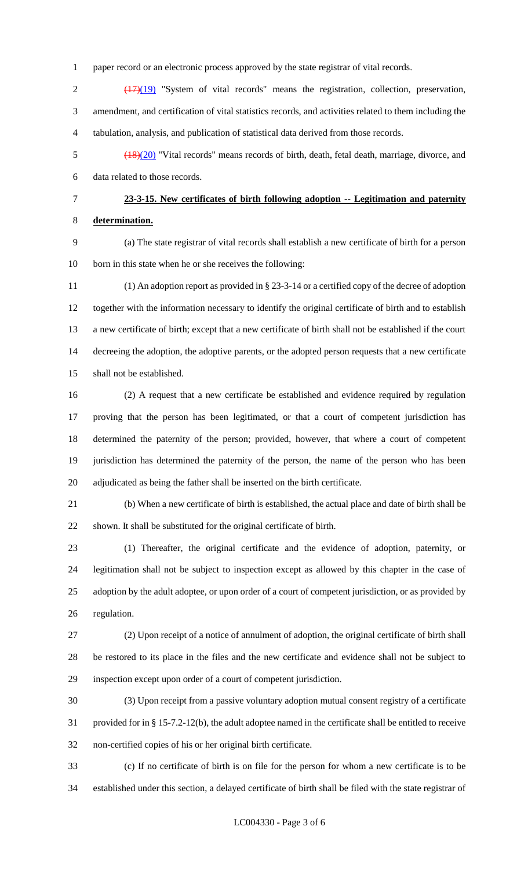paper record or an electronic process approved by the state registrar of vital records.

2 (17)(19) "System of vital records" means the registration, collection, preservation, amendment, and certification of vital statistics records, and activities related to them including the tabulation, analysis, and publication of statistical data derived from those records.

 (18)(20) "Vital records" means records of birth, death, fetal death, marriage, divorce, and data related to those records.

 **23-3-15. New certificates of birth following adoption -- Legitimation and paternity determination.**

 (a) The state registrar of vital records shall establish a new certificate of birth for a person born in this state when he or she receives the following:

 (1) An adoption report as provided in § 23-3-14 or a certified copy of the decree of adoption together with the information necessary to identify the original certificate of birth and to establish a new certificate of birth; except that a new certificate of birth shall not be established if the court decreeing the adoption, the adoptive parents, or the adopted person requests that a new certificate shall not be established.

 (2) A request that a new certificate be established and evidence required by regulation proving that the person has been legitimated, or that a court of competent jurisdiction has determined the paternity of the person; provided, however, that where a court of competent jurisdiction has determined the paternity of the person, the name of the person who has been adjudicated as being the father shall be inserted on the birth certificate.

 (b) When a new certificate of birth is established, the actual place and date of birth shall be shown. It shall be substituted for the original certificate of birth.

 (1) Thereafter, the original certificate and the evidence of adoption, paternity, or legitimation shall not be subject to inspection except as allowed by this chapter in the case of adoption by the adult adoptee, or upon order of a court of competent jurisdiction, or as provided by regulation.

 (2) Upon receipt of a notice of annulment of adoption, the original certificate of birth shall be restored to its place in the files and the new certificate and evidence shall not be subject to inspection except upon order of a court of competent jurisdiction.

 (3) Upon receipt from a passive voluntary adoption mutual consent registry of a certificate provided for in § 15-7.2-12(b), the adult adoptee named in the certificate shall be entitled to receive non-certified copies of his or her original birth certificate.

 (c) If no certificate of birth is on file for the person for whom a new certificate is to be established under this section, a delayed certificate of birth shall be filed with the state registrar of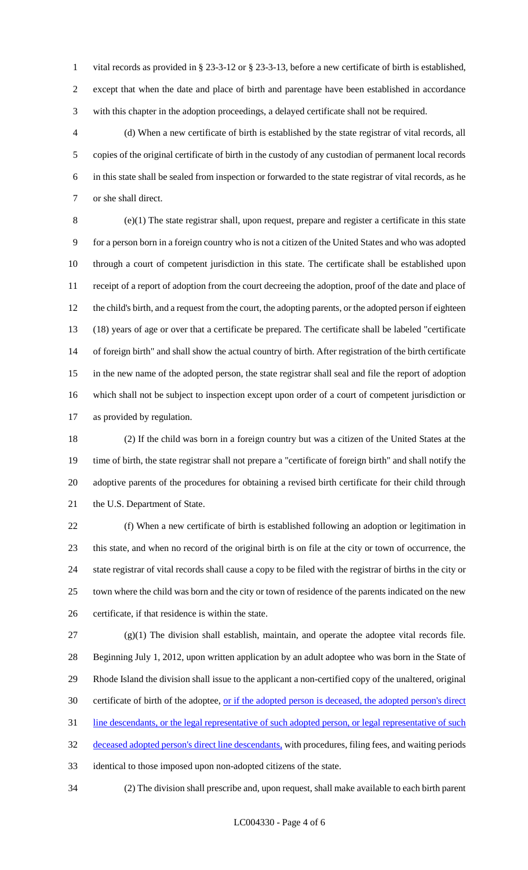vital records as provided in § 23-3-12 or § 23-3-13, before a new certificate of birth is established, except that when the date and place of birth and parentage have been established in accordance with this chapter in the adoption proceedings, a delayed certificate shall not be required.

 (d) When a new certificate of birth is established by the state registrar of vital records, all copies of the original certificate of birth in the custody of any custodian of permanent local records in this state shall be sealed from inspection or forwarded to the state registrar of vital records, as he or she shall direct.

 (e)(1) The state registrar shall, upon request, prepare and register a certificate in this state for a person born in a foreign country who is not a citizen of the United States and who was adopted through a court of competent jurisdiction in this state. The certificate shall be established upon receipt of a report of adoption from the court decreeing the adoption, proof of the date and place of the child's birth, and a request from the court, the adopting parents, or the adopted person if eighteen (18) years of age or over that a certificate be prepared. The certificate shall be labeled "certificate of foreign birth" and shall show the actual country of birth. After registration of the birth certificate in the new name of the adopted person, the state registrar shall seal and file the report of adoption which shall not be subject to inspection except upon order of a court of competent jurisdiction or as provided by regulation.

 (2) If the child was born in a foreign country but was a citizen of the United States at the time of birth, the state registrar shall not prepare a "certificate of foreign birth" and shall notify the adoptive parents of the procedures for obtaining a revised birth certificate for their child through 21 the U.S. Department of State.

 (f) When a new certificate of birth is established following an adoption or legitimation in this state, and when no record of the original birth is on file at the city or town of occurrence, the state registrar of vital records shall cause a copy to be filed with the registrar of births in the city or town where the child was born and the city or town of residence of the parents indicated on the new certificate, if that residence is within the state.

 $(27 \text{ (g)}(1)$  The division shall establish, maintain, and operate the adoptee vital records file. Beginning July 1, 2012, upon written application by an adult adoptee who was born in the State of Rhode Island the division shall issue to the applicant a non-certified copy of the unaltered, original 30 certificate of birth of the adoptee, <u>or if the adopted person is deceased</u>, the adopted person's direct 31 line descendants, or the legal representative of such adopted person, or legal representative of such deceased adopted person's direct line descendants, with procedures, filing fees, and waiting periods identical to those imposed upon non-adopted citizens of the state.

(2) The division shall prescribe and, upon request, shall make available to each birth parent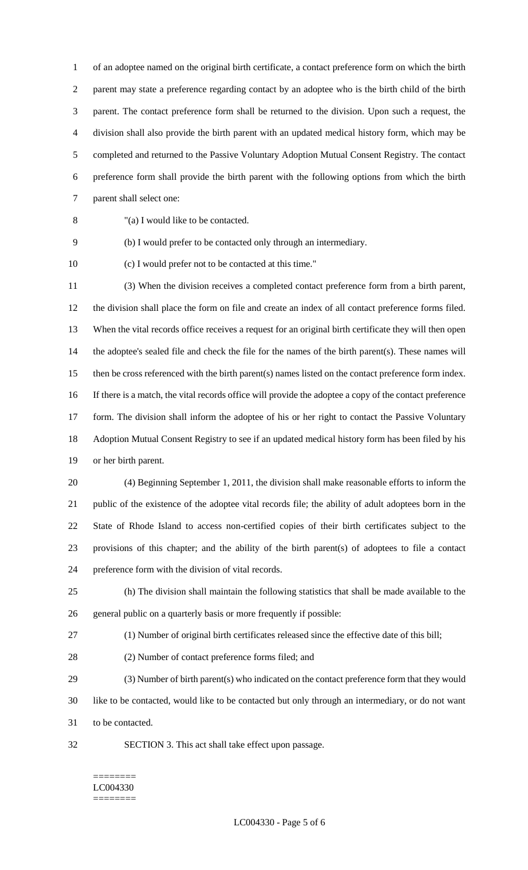of an adoptee named on the original birth certificate, a contact preference form on which the birth parent may state a preference regarding contact by an adoptee who is the birth child of the birth parent. The contact preference form shall be returned to the division. Upon such a request, the division shall also provide the birth parent with an updated medical history form, which may be completed and returned to the Passive Voluntary Adoption Mutual Consent Registry. The contact preference form shall provide the birth parent with the following options from which the birth parent shall select one:

"(a) I would like to be contacted.

(b) I would prefer to be contacted only through an intermediary.

(c) I would prefer not to be contacted at this time."

 (3) When the division receives a completed contact preference form from a birth parent, the division shall place the form on file and create an index of all contact preference forms filed. When the vital records office receives a request for an original birth certificate they will then open the adoptee's sealed file and check the file for the names of the birth parent(s). These names will then be cross referenced with the birth parent(s) names listed on the contact preference form index. If there is a match, the vital records office will provide the adoptee a copy of the contact preference 17 form. The division shall inform the adoptee of his or her right to contact the Passive Voluntary Adoption Mutual Consent Registry to see if an updated medical history form has been filed by his or her birth parent.

 (4) Beginning September 1, 2011, the division shall make reasonable efforts to inform the public of the existence of the adoptee vital records file; the ability of adult adoptees born in the State of Rhode Island to access non-certified copies of their birth certificates subject to the provisions of this chapter; and the ability of the birth parent(s) of adoptees to file a contact preference form with the division of vital records.

 (h) The division shall maintain the following statistics that shall be made available to the general public on a quarterly basis or more frequently if possible:

(1) Number of original birth certificates released since the effective date of this bill;

(2) Number of contact preference forms filed; and

 (3) Number of birth parent(s) who indicated on the contact preference form that they would like to be contacted, would like to be contacted but only through an intermediary, or do not want to be contacted.

SECTION 3. This act shall take effect upon passage.

#### ======== LC004330 ========